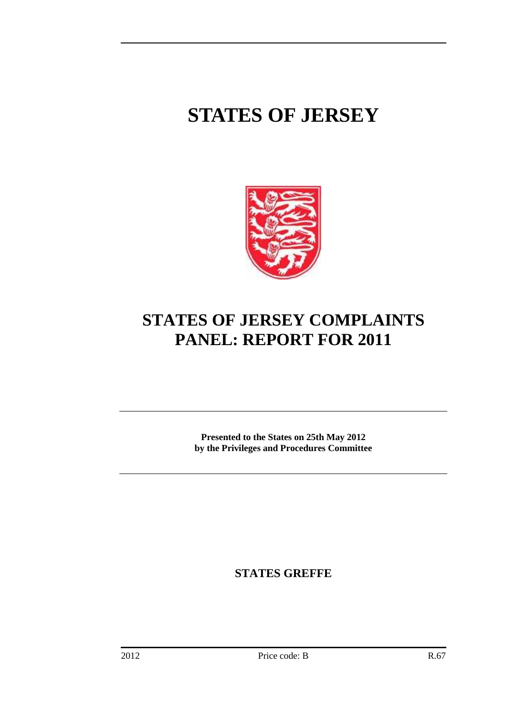# **STATES OF JERSEY**



# **STATES OF JERSEY COMPLAINTS PANEL: REPORT FOR 2011**

**Presented to the States on 25th May 2012 by the Privileges and Procedures Committee** 

**STATES GREFFE**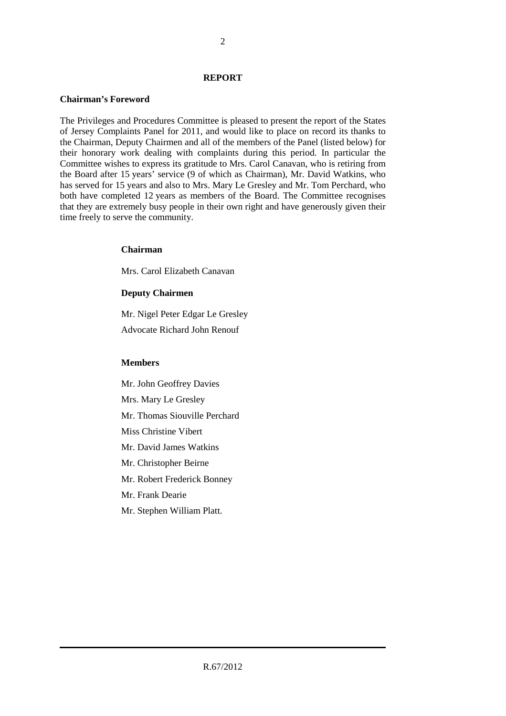#### **REPORT**

#### **Chairman's Foreword**

The Privileges and Procedures Committee is pleased to present the report of the States of Jersey Complaints Panel for 2011, and would like to place on record its thanks to the Chairman, Deputy Chairmen and all of the members of the Panel (listed below) for their honorary work dealing with complaints during this period. In particular the Committee wishes to express its gratitude to Mrs. Carol Canavan, who is retiring from the Board after 15 years' service (9 of which as Chairman), Mr. David Watkins, who has served for 15 years and also to Mrs. Mary Le Gresley and Mr. Tom Perchard, who both have completed 12 years as members of the Board. The Committee recognises that they are extremely busy people in their own right and have generously given their time freely to serve the community.

#### **Chairman**

Mrs. Carol Elizabeth Canavan

#### **Deputy Chairmen**

Mr. Nigel Peter Edgar Le Gresley Advocate Richard John Renouf

#### **Members**

Mr. John Geoffrey Davies Mrs. Mary Le Gresley Mr. Thomas Siouville Perchard Miss Christine Vibert Mr. David James Watkins Mr. Christopher Beirne Mr. Robert Frederick Bonney Mr. Frank Dearie Mr. Stephen William Platt.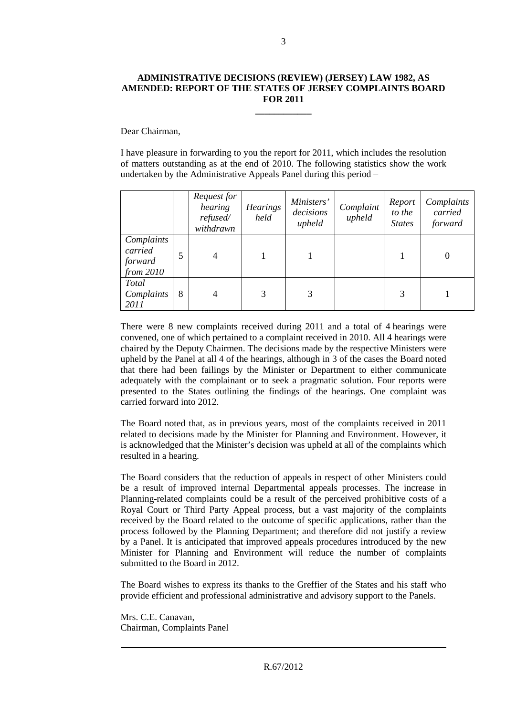#### **ADMINISTRATIVE DECISIONS (REVIEW) (JERSEY) LAW 1982, AS AMENDED: REPORT OF THE STATES OF JERSEY COMPLAINTS BOARD FOR 2011**

**\_\_\_\_\_\_\_\_\_\_\_\_** 

Dear Chairman,

I have pleasure in forwarding to you the report for 2011, which includes the resolution of matters outstanding as at the end of 2010. The following statistics show the work undertaken by the Administrative Appeals Panel during this period –

|                                                 |   | Request for<br>hearing<br>refused/<br>withdrawn | <b>Hearings</b><br>held | Ministers'<br>decisions<br>upheld | Complaint<br>upheld | Report<br>to the<br><b>States</b> | Complaints<br>carried<br>forward |
|-------------------------------------------------|---|-------------------------------------------------|-------------------------|-----------------------------------|---------------------|-----------------------------------|----------------------------------|
| Complaints<br>carried<br>forward<br>from $2010$ |   | 4                                               |                         |                                   |                     |                                   | $\boldsymbol{0}$                 |
| <b>Total</b><br>Complaints<br>2011              | 8 | 4                                               | 3                       | 3                                 |                     | 3                                 |                                  |

There were 8 new complaints received during 2011 and a total of 4 hearings were convened, one of which pertained to a complaint received in 2010. All 4 hearings were chaired by the Deputy Chairmen. The decisions made by the respective Ministers were upheld by the Panel at all 4 of the hearings, although in 3 of the cases the Board noted that there had been failings by the Minister or Department to either communicate adequately with the complainant or to seek a pragmatic solution. Four reports were presented to the States outlining the findings of the hearings. One complaint was carried forward into 2012.

The Board noted that, as in previous years, most of the complaints received in 2011 related to decisions made by the Minister for Planning and Environment. However, it is acknowledged that the Minister's decision was upheld at all of the complaints which resulted in a hearing.

The Board considers that the reduction of appeals in respect of other Ministers could be a result of improved internal Departmental appeals processes. The increase in Planning-related complaints could be a result of the perceived prohibitive costs of a Royal Court or Third Party Appeal process, but a vast majority of the complaints received by the Board related to the outcome of specific applications, rather than the process followed by the Planning Department; and therefore did not justify a review by a Panel. It is anticipated that improved appeals procedures introduced by the new Minister for Planning and Environment will reduce the number of complaints submitted to the Board in 2012.

The Board wishes to express its thanks to the Greffier of the States and his staff who provide efficient and professional administrative and advisory support to the Panels.

Mrs. C.E. Canavan, Chairman, Complaints Panel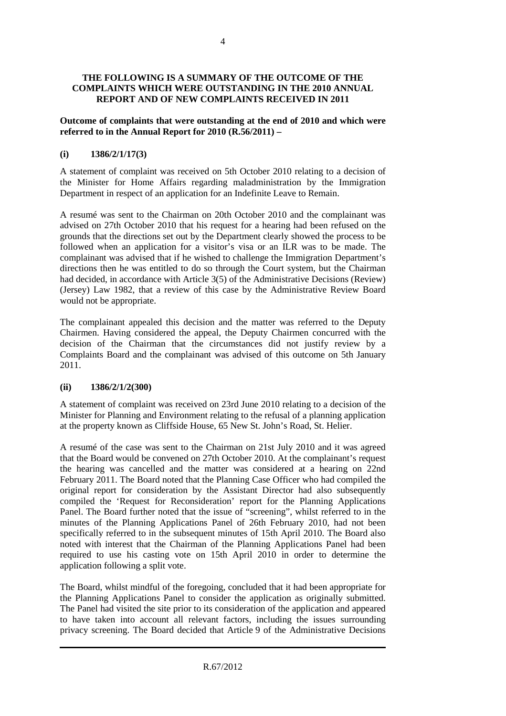#### **THE FOLLOWING IS A SUMMARY OF THE OUTCOME OF THE COMPLAINTS WHICH WERE OUTSTANDING IN THE 2010 ANNUAL REPORT AND OF NEW COMPLAINTS RECEIVED IN 2011**

#### **Outcome of complaints that were outstanding at the end of 2010 and which were referred to in the Annual Report for 2010 (R.56/2011) –**

# **(i) 1386/2/1/17(3)**

A statement of complaint was received on 5th October 2010 relating to a decision of the Minister for Home Affairs regarding maladministration by the Immigration Department in respect of an application for an Indefinite Leave to Remain.

A resumé was sent to the Chairman on 20th October 2010 and the complainant was advised on 27th October 2010 that his request for a hearing had been refused on the grounds that the directions set out by the Department clearly showed the process to be followed when an application for a visitor's visa or an ILR was to be made. The complainant was advised that if he wished to challenge the Immigration Department's directions then he was entitled to do so through the Court system, but the Chairman had decided, in accordance with Article 3(5) of the Administrative Decisions (Review) (Jersey) Law 1982, that a review of this case by the Administrative Review Board would not be appropriate.

The complainant appealed this decision and the matter was referred to the Deputy Chairmen. Having considered the appeal, the Deputy Chairmen concurred with the decision of the Chairman that the circumstances did not justify review by a Complaints Board and the complainant was advised of this outcome on 5th January 2011.

# **(ii) 1386/2/1/2(300)**

A statement of complaint was received on 23rd June 2010 relating to a decision of the Minister for Planning and Environment relating to the refusal of a planning application at the property known as Cliffside House, 65 New St. John's Road, St. Helier.

A resumé of the case was sent to the Chairman on 21st July 2010 and it was agreed that the Board would be convened on 27th October 2010. At the complainant's request the hearing was cancelled and the matter was considered at a hearing on 22nd February 2011. The Board noted that the Planning Case Officer who had compiled the original report for consideration by the Assistant Director had also subsequently compiled the 'Request for Reconsideration' report for the Planning Applications Panel. The Board further noted that the issue of "screening", whilst referred to in the minutes of the Planning Applications Panel of 26th February 2010, had not been specifically referred to in the subsequent minutes of 15th April 2010. The Board also noted with interest that the Chairman of the Planning Applications Panel had been required to use his casting vote on 15th April 2010 in order to determine the application following a split vote.

The Board, whilst mindful of the foregoing, concluded that it had been appropriate for the Planning Applications Panel to consider the application as originally submitted. The Panel had visited the site prior to its consideration of the application and appeared to have taken into account all relevant factors, including the issues surrounding privacy screening. The Board decided that Article 9 of the Administrative Decisions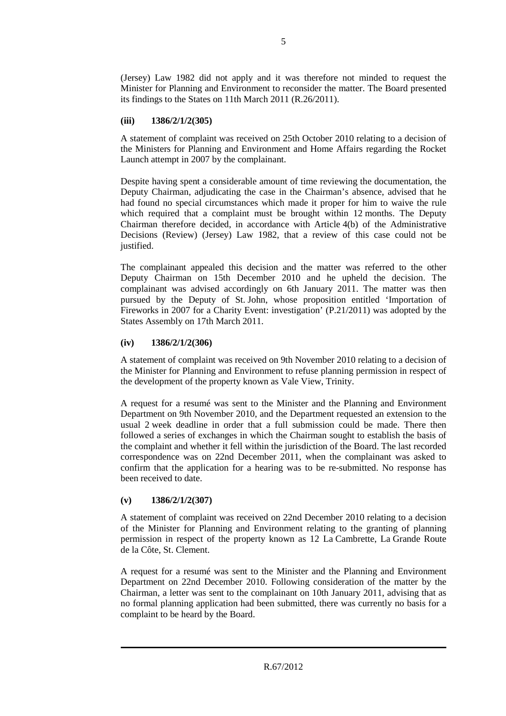(Jersey) Law 1982 did not apply and it was therefore not minded to request the Minister for Planning and Environment to reconsider the matter. The Board presented its findings to the States on 11th March 2011 (R.26/2011).

# **(iii) 1386/2/1/2(305)**

A statement of complaint was received on 25th October 2010 relating to a decision of the Ministers for Planning and Environment and Home Affairs regarding the Rocket Launch attempt in 2007 by the complainant.

Despite having spent a considerable amount of time reviewing the documentation, the Deputy Chairman, adjudicating the case in the Chairman's absence, advised that he had found no special circumstances which made it proper for him to waive the rule which required that a complaint must be brought within 12 months. The Deputy Chairman therefore decided, in accordance with Article 4(b) of the Administrative Decisions (Review) (Jersey) Law 1982, that a review of this case could not be justified.

The complainant appealed this decision and the matter was referred to the other Deputy Chairman on 15th December 2010 and he upheld the decision. The complainant was advised accordingly on 6th January 2011. The matter was then pursued by the Deputy of St. John, whose proposition entitled 'Importation of Fireworks in 2007 for a Charity Event: investigation' (P.21/2011) was adopted by the States Assembly on 17th March 2011.

#### **(iv) 1386/2/1/2(306)**

A statement of complaint was received on 9th November 2010 relating to a decision of the Minister for Planning and Environment to refuse planning permission in respect of the development of the property known as Vale View, Trinity.

A request for a resumé was sent to the Minister and the Planning and Environment Department on 9th November 2010, and the Department requested an extension to the usual 2 week deadline in order that a full submission could be made. There then followed a series of exchanges in which the Chairman sought to establish the basis of the complaint and whether it fell within the jurisdiction of the Board. The last recorded correspondence was on 22nd December 2011, when the complainant was asked to confirm that the application for a hearing was to be re-submitted. No response has been received to date.

# **(v) 1386/2/1/2(307)**

A statement of complaint was received on 22nd December 2010 relating to a decision of the Minister for Planning and Environment relating to the granting of planning permission in respect of the property known as 12 La Cambrette, La Grande Route de la Côte, St. Clement.

A request for a resumé was sent to the Minister and the Planning and Environment Department on 22nd December 2010. Following consideration of the matter by the Chairman, a letter was sent to the complainant on 10th January 2011, advising that as no formal planning application had been submitted, there was currently no basis for a complaint to be heard by the Board.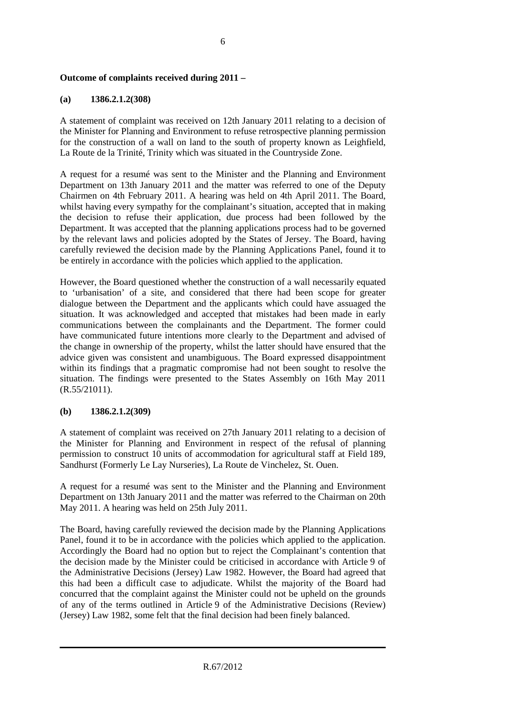# **Outcome of complaints received during 2011 –**

# **(a) 1386.2.1.2(308)**

A statement of complaint was received on 12th January 2011 relating to a decision of the Minister for Planning and Environment to refuse retrospective planning permission for the construction of a wall on land to the south of property known as Leighfield, La Route de la Trinité, Trinity which was situated in the Countryside Zone.

A request for a resumé was sent to the Minister and the Planning and Environment Department on 13th January 2011 and the matter was referred to one of the Deputy Chairmen on 4th February 2011. A hearing was held on 4th April 2011. The Board, whilst having every sympathy for the complainant's situation, accepted that in making the decision to refuse their application, due process had been followed by the Department. It was accepted that the planning applications process had to be governed by the relevant laws and policies adopted by the States of Jersey. The Board, having carefully reviewed the decision made by the Planning Applications Panel, found it to be entirely in accordance with the policies which applied to the application.

However, the Board questioned whether the construction of a wall necessarily equated to 'urbanisation' of a site, and considered that there had been scope for greater dialogue between the Department and the applicants which could have assuaged the situation. It was acknowledged and accepted that mistakes had been made in early communications between the complainants and the Department. The former could have communicated future intentions more clearly to the Department and advised of the change in ownership of the property, whilst the latter should have ensured that the advice given was consistent and unambiguous. The Board expressed disappointment within its findings that a pragmatic compromise had not been sought to resolve the situation. The findings were presented to the States Assembly on 16th May 2011 (R.55/21011).

#### **(b) 1386.2.1.2(309)**

A statement of complaint was received on 27th January 2011 relating to a decision of the Minister for Planning and Environment in respect of the refusal of planning permission to construct 10 units of accommodation for agricultural staff at Field 189, Sandhurst (Formerly Le Lay Nurseries), La Route de Vinchelez, St. Ouen.

A request for a resumé was sent to the Minister and the Planning and Environment Department on 13th January 2011 and the matter was referred to the Chairman on 20th May 2011. A hearing was held on 25th July 2011.

The Board, having carefully reviewed the decision made by the Planning Applications Panel, found it to be in accordance with the policies which applied to the application. Accordingly the Board had no option but to reject the Complainant's contention that the decision made by the Minister could be criticised in accordance with Article 9 of the Administrative Decisions (Jersey) Law 1982. However, the Board had agreed that this had been a difficult case to adjudicate. Whilst the majority of the Board had concurred that the complaint against the Minister could not be upheld on the grounds of any of the terms outlined in Article 9 of the Administrative Decisions (Review) (Jersey) Law 1982, some felt that the final decision had been finely balanced.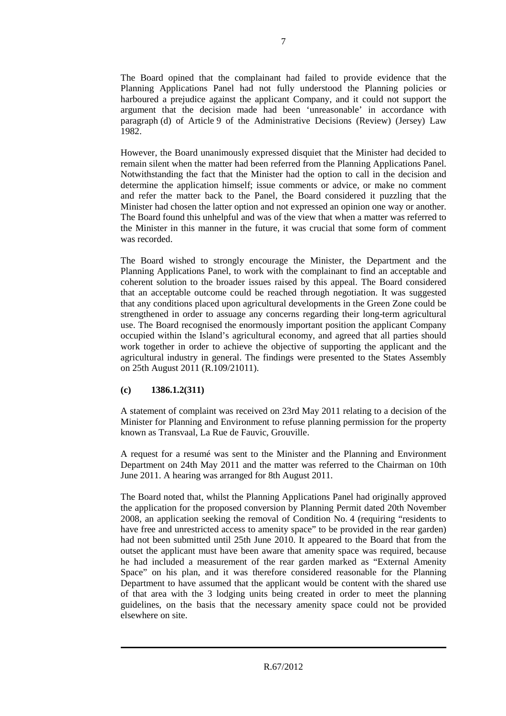The Board opined that the complainant had failed to provide evidence that the Planning Applications Panel had not fully understood the Planning policies or harboured a prejudice against the applicant Company, and it could not support the argument that the decision made had been 'unreasonable' in accordance with paragraph (d) of Article 9 of the Administrative Decisions (Review) (Jersey) Law 1982.

However, the Board unanimously expressed disquiet that the Minister had decided to remain silent when the matter had been referred from the Planning Applications Panel. Notwithstanding the fact that the Minister had the option to call in the decision and determine the application himself; issue comments or advice, or make no comment and refer the matter back to the Panel, the Board considered it puzzling that the Minister had chosen the latter option and not expressed an opinion one way or another. The Board found this unhelpful and was of the view that when a matter was referred to the Minister in this manner in the future, it was crucial that some form of comment was recorded.

The Board wished to strongly encourage the Minister, the Department and the Planning Applications Panel, to work with the complainant to find an acceptable and coherent solution to the broader issues raised by this appeal. The Board considered that an acceptable outcome could be reached through negotiation. It was suggested that any conditions placed upon agricultural developments in the Green Zone could be strengthened in order to assuage any concerns regarding their long-term agricultural use. The Board recognised the enormously important position the applicant Company occupied within the Island's agricultural economy, and agreed that all parties should work together in order to achieve the objective of supporting the applicant and the agricultural industry in general. The findings were presented to the States Assembly on 25th August 2011 (R.109/21011).

# **(c) 1386.1.2(311)**

A statement of complaint was received on 23rd May 2011 relating to a decision of the Minister for Planning and Environment to refuse planning permission for the property known as Transvaal, La Rue de Fauvic, Grouville.

A request for a resumé was sent to the Minister and the Planning and Environment Department on 24th May 2011 and the matter was referred to the Chairman on 10th June 2011. A hearing was arranged for 8th August 2011.

The Board noted that, whilst the Planning Applications Panel had originally approved the application for the proposed conversion by Planning Permit dated 20th November 2008, an application seeking the removal of Condition No. 4 (requiring "residents to have free and unrestricted access to amenity space" to be provided in the rear garden) had not been submitted until 25th June 2010. It appeared to the Board that from the outset the applicant must have been aware that amenity space was required, because he had included a measurement of the rear garden marked as "External Amenity Space" on his plan, and it was therefore considered reasonable for the Planning Department to have assumed that the applicant would be content with the shared use of that area with the 3 lodging units being created in order to meet the planning guidelines, on the basis that the necessary amenity space could not be provided elsewhere on site.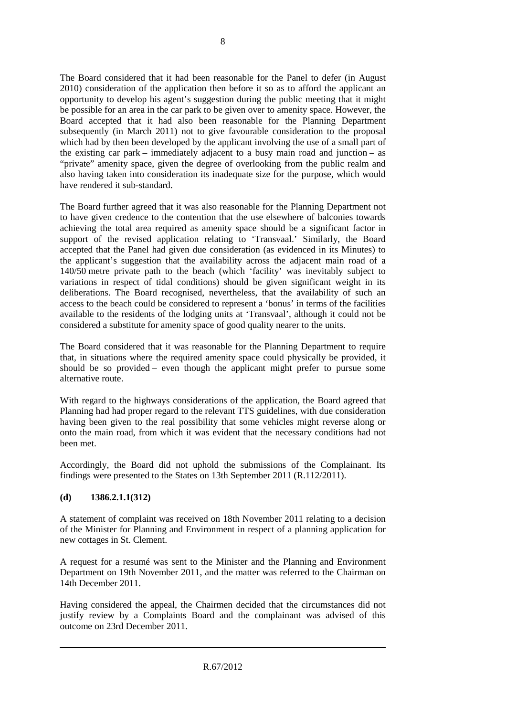The Board considered that it had been reasonable for the Panel to defer (in August 2010) consideration of the application then before it so as to afford the applicant an opportunity to develop his agent's suggestion during the public meeting that it might be possible for an area in the car park to be given over to amenity space. However, the Board accepted that it had also been reasonable for the Planning Department subsequently (in March 2011) not to give favourable consideration to the proposal which had by then been developed by the applicant involving the use of a small part of the existing car park – immediately adjacent to a busy main road and junction – as "private" amenity space, given the degree of overlooking from the public realm and also having taken into consideration its inadequate size for the purpose, which would have rendered it sub-standard.

The Board further agreed that it was also reasonable for the Planning Department not to have given credence to the contention that the use elsewhere of balconies towards achieving the total area required as amenity space should be a significant factor in support of the revised application relating to 'Transvaal.' Similarly, the Board accepted that the Panel had given due consideration (as evidenced in its Minutes) to the applicant's suggestion that the availability across the adjacent main road of a 140/50 metre private path to the beach (which 'facility' was inevitably subject to variations in respect of tidal conditions) should be given significant weight in its deliberations. The Board recognised, nevertheless, that the availability of such an access to the beach could be considered to represent a 'bonus' in terms of the facilities available to the residents of the lodging units at 'Transvaal', although it could not be considered a substitute for amenity space of good quality nearer to the units.

The Board considered that it was reasonable for the Planning Department to require that, in situations where the required amenity space could physically be provided, it should be so provided – even though the applicant might prefer to pursue some alternative route.

With regard to the highways considerations of the application, the Board agreed that Planning had had proper regard to the relevant TTS guidelines, with due consideration having been given to the real possibility that some vehicles might reverse along or onto the main road, from which it was evident that the necessary conditions had not been met.

Accordingly, the Board did not uphold the submissions of the Complainant. Its findings were presented to the States on 13th September 2011 (R.112/2011).

# **(d) 1386.2.1.1(312)**

A statement of complaint was received on 18th November 2011 relating to a decision of the Minister for Planning and Environment in respect of a planning application for new cottages in St. Clement.

A request for a resumé was sent to the Minister and the Planning and Environment Department on 19th November 2011, and the matter was referred to the Chairman on 14th December 2011.

Having considered the appeal, the Chairmen decided that the circumstances did not justify review by a Complaints Board and the complainant was advised of this outcome on 23rd December 2011.